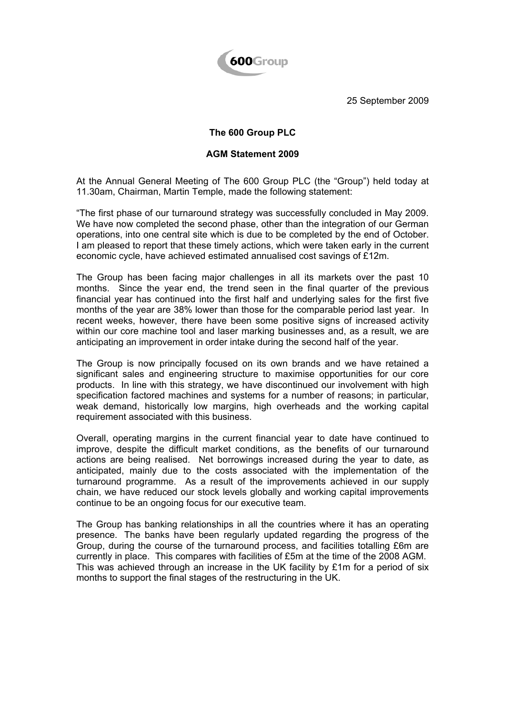

25 September 2009

## **The 600 Group PLC**

## **AGM Statement 2009**

At the Annual General Meeting of The 600 Group PLC (the "Group") held today at 11.30am, Chairman, Martin Temple, made the following statement:

"The first phase of our turnaround strategy was successfully concluded in May 2009. We have now completed the second phase, other than the integration of our German operations, into one central site which is due to be completed by the end of October. I am pleased to report that these timely actions, which were taken early in the current economic cycle, have achieved estimated annualised cost savings of £12m.

The Group has been facing major challenges in all its markets over the past 10 months. Since the year end, the trend seen in the final quarter of the previous financial year has continued into the first half and underlying sales for the first five months of the year are 38% lower than those for the comparable period last year. In recent weeks, however, there have been some positive signs of increased activity within our core machine tool and laser marking businesses and, as a result, we are anticipating an improvement in order intake during the second half of the year.

The Group is now principally focused on its own brands and we have retained a significant sales and engineering structure to maximise opportunities for our core products. In line with this strategy, we have discontinued our involvement with high specification factored machines and systems for a number of reasons; in particular, weak demand, historically low margins, high overheads and the working capital requirement associated with this business.

Overall, operating margins in the current financial year to date have continued to improve, despite the difficult market conditions, as the benefits of our turnaround actions are being realised. Net borrowings increased during the year to date, as anticipated, mainly due to the costs associated with the implementation of the turnaround programme. As a result of the improvements achieved in our supply chain, we have reduced our stock levels globally and working capital improvements continue to be an ongoing focus for our executive team.

The Group has banking relationships in all the countries where it has an operating presence. The banks have been regularly updated regarding the progress of the Group, during the course of the turnaround process, and facilities totalling £6m are currently in place. This compares with facilities of £5m at the time of the 2008 AGM. This was achieved through an increase in the UK facility by £1m for a period of six months to support the final stages of the restructuring in the UK.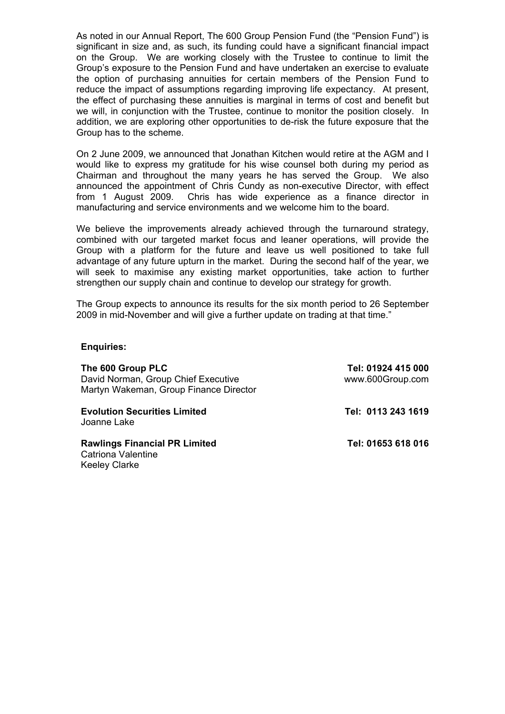As noted in our Annual Report, The 600 Group Pension Fund (the "Pension Fund") is significant in size and, as such, its funding could have a significant financial impact on the Group. We are working closely with the Trustee to continue to limit the Group's exposure to the Pension Fund and have undertaken an exercise to evaluate the option of purchasing annuities for certain members of the Pension Fund to reduce the impact of assumptions regarding improving life expectancy. At present, the effect of purchasing these annuities is marginal in terms of cost and benefit but we will, in conjunction with the Trustee, continue to monitor the position closely. In addition, we are exploring other opportunities to de-risk the future exposure that the Group has to the scheme.

On 2 June 2009, we announced that Jonathan Kitchen would retire at the AGM and I would like to express my gratitude for his wise counsel both during my period as Chairman and throughout the many years he has served the Group. We also announced the appointment of Chris Cundy as non-executive Director, with effect from 1 August 2009. Chris has wide experience as a finance director in manufacturing and service environments and we welcome him to the board.

We believe the improvements already achieved through the turnaround strategy, combined with our targeted market focus and leaner operations, will provide the Group with a platform for the future and leave us well positioned to take full advantage of any future upturn in the market. During the second half of the year, we will seek to maximise any existing market opportunities, take action to further strengthen our supply chain and continue to develop our strategy for growth.

The Group expects to announce its results for the six month period to 26 September 2009 in mid-November and will give a further update on trading at that time."

## **Enquiries:**

**The 600 Group PLC Tel: 01924 415 000** David Norman, Group Chief Executive www.600Group.com Martyn Wakeman, Group Finance Director **Evolution Securities Limited Contract Contract Contract Contract Tel: 0113 243 1619** 

Joanne Lake

Rawlings Financial PR Limited Tel: 01653 618 016 Catriona Valentine Keeley Clarke